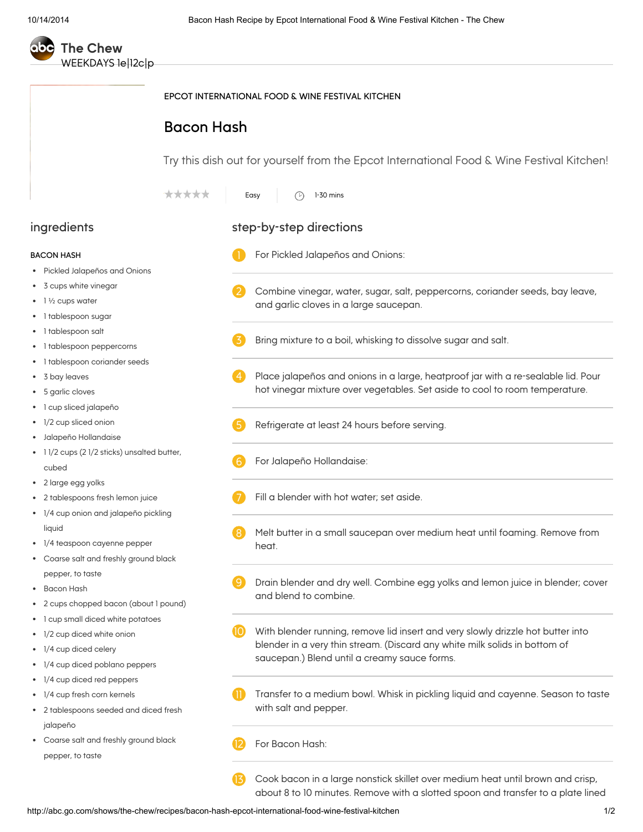

## EPCOT INTERNATIONAL FOOD & WINE FESTIVAL KITCHEN

## [Bacon](http://abc.go.com/shows/the-chew/recipes/bacon-hash-epcot-international-food-wine-festival-kitchen) Hash

Try this dish out for yourself from the Epcot International Food & Wine Festival Kitchen!

\*\*\*\*\* Easy  $\bigcirc$  1-30 mins

## BACON HASH

- Pickled Jalapeños and Onions
- 3 cups white vinegar
- 1 ½ cups water
- 1 tablespoon sugar
- 1 tablespoon salt
- 1 tablespoon peppercorns
- 1 tablespoon coriander seeds
- 3 bay leaves
- 5 garlic cloves
- 1 cup sliced jalapeño
- 1/2 cup sliced onion
- Jalapeño Hollandaise
- 1 1/2 cups (2 1/2 sticks) unsalted butter, cubed
- 2 large egg yolks
- 2 tablespoons fresh lemon juice
- 1/4 cup onion and jalapeño pickling liquid
- 1/4 teaspoon cayenne pepper
- Coarse salt and freshly ground black pepper, to taste
- Bacon Hash
- 2 cups chopped bacon (about 1 pound)
- 1 cup small diced white potatoes
- 1/2 cup diced white onion
- 1/4 cup diced celery
- 1/4 cup diced poblano peppers
- 1/4 cup diced red peppers
- 1/4 cup fresh corn kernels
- 2 tablespoons seeded and diced fresh jalapeño
- Coarse salt and freshly ground black pepper, to taste
- ingredients step-by-step directions
	- For Pickled Jalapeños and Onions:
	- Combine vinegar, water, sugar, salt, peppercorns, coriander seeds, bay leave, and garlic cloves in a large saucepan. 2
	- Bring mixture to a boil, whisking to dissolve sugar and salt.
	- Place jalapeños and onions in a large, heatproof jar with a re-sealable lid. Pour hot vinegar mixture over vegetables. Set aside to cool to room temperature. 4
	- Refrigerate at least 24 hours before serving.
	- For Jalapeño Hollandaise:
	- Fill a blender with hot water; set aside.
	- Melt butter in a small saucepan over medium heat until foaming. Remove from heat. 8
	- Drain blender and dry well. Combine egg yolks and lemon juice in blender; cover and blend to combine. 9
	- With blender running, remove lid insert and very slowly drizzle hot butter into blender in a very thin stream. (Discard any white milk solids in bottom of saucepan.) Blend until a creamy sauce forms. 10
	- Transfer to a medium bowl. Whisk in pickling liquid and cayenne. Season to taste with salt and pepper.
	- For Bacon Hash:

Cook bacon in a large nonstick skillet over medium heat until brown and crisp, about 8 to 10 minutes. Remove with a slotted spoon and transfer to a plate lined 13